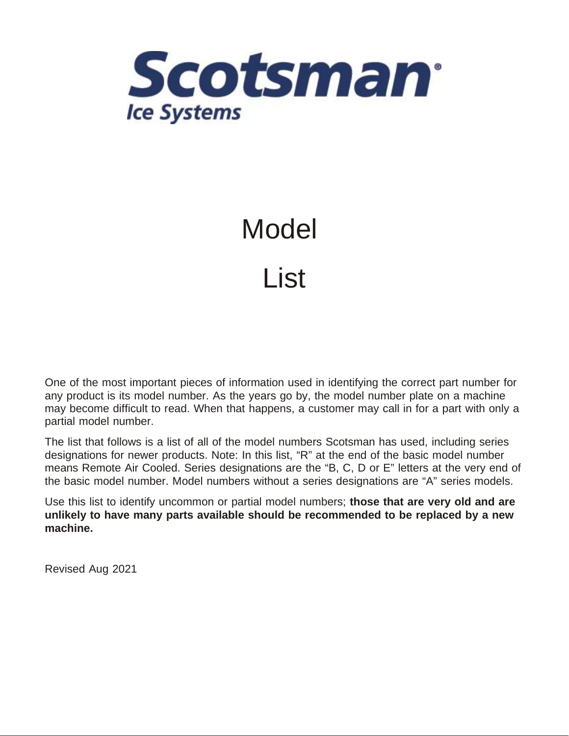

## Model List

One of the most important pieces of information used in identifying the correct part number for any product is its model number. As the years go by, the model number plate on a machine may become difficult to read. When that happens, a customer may call in for a part with only a partial model number.

The list that follows is a list of all of the model numbers Scotsman has used, including series designations for newer products. Note: In this list, "R" at the end of the basic model number means Remote Air Cooled. Series designations are the "B, C, D or E" letters at the very end of the basic model number. Model numbers without a series designations are "A" series models.

Use this list to identify uncommon or partial model numbers; **those that are very old and are unlikely to have many parts available should be recommended to be replaced by a new machine.**

Revised Aug 2021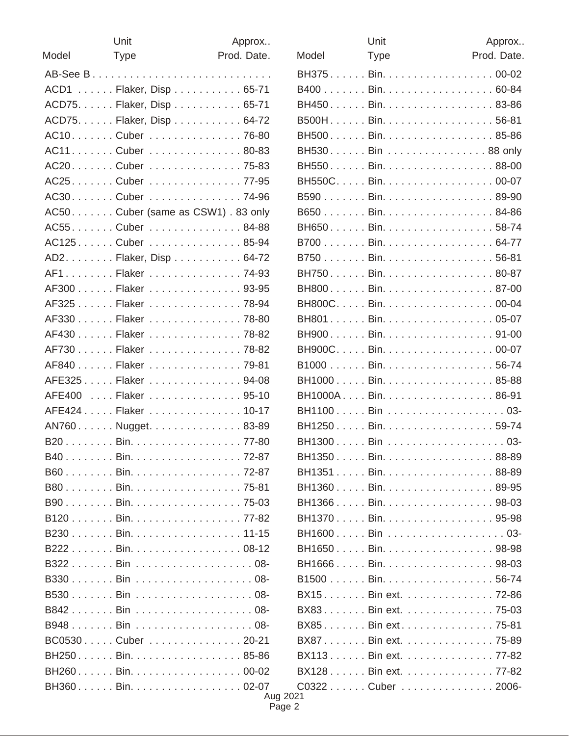|       | Unit                                 | Approx      |
|-------|--------------------------------------|-------------|
| Model | <b>Type</b>                          | Prod. Date. |
|       |                                      |             |
|       | ACD1 Flaker, Disp 65-71              |             |
|       | ACD75. Flaker, Disp 65-71            |             |
|       | ACD75. Flaker, Disp 64-72            |             |
|       | AC10. Cuber 76-80                    |             |
|       | AC11. Cuber 80-83                    |             |
|       | AC20Cuber75-83                       |             |
|       | AC25. Cuber 77-95                    |             |
|       | AC30. Cuber 74-96                    |             |
|       | AC50. Cuber (same as CSW1) . 83 only |             |
|       | AC55Cuber84-88                       |             |
|       | AC125Cuber85-94                      |             |
|       | AD2. Flaker, Disp 64-72              |             |
|       | AF1Flaker74-93                       |             |
|       | AF300 Flaker 93-95                   |             |
|       | AF325 Flaker 78-94                   |             |
|       | AF330 Flaker 78-80                   |             |
|       | AF430 Flaker 78-82                   |             |
|       | AF730 Flaker 78-82                   |             |
|       | AF840 Flaker 79-81                   |             |
|       | AFE325 Flaker 94-08                  |             |
|       | AFE400  Flaker  95-10                |             |
|       | AFE424 Flaker 10-17                  |             |
|       | AN760Nugget83-89                     |             |
|       | B20 Bin. 77-80                       |             |
|       | B40. Bin. 72-87                      |             |
|       | B60. Bin. 72-87                      |             |
|       | B80. Bin. 75-81                      |             |
|       | B90. Bin. 75-03                      |             |
|       | B120 Bin. 77-82                      |             |
|       | B230 Bin. 11-15                      |             |
|       | B222Bin08-12                         |             |
|       | B322Bin 08-                          |             |
|       | B330Bin 08-                          |             |
|       | B530Bin 08-                          |             |
|       |                                      |             |
|       | B948Bin 08-                          |             |
|       | BC0530Cuber20-21                     |             |
|       | BH250Bin85-86                        |             |
|       | BH260Bin00-02                        |             |
|       | BH360Bin02-07                        |             |

|       | Unit               | Approx      |
|-------|--------------------|-------------|
| Model | <b>Type</b>        | Prod. Date. |
|       | BH375Bin00-02      |             |
|       | B400 Bin. 60-84    |             |
|       | BH450Bin83-86      |             |
|       | B500HBin56-81      |             |
|       | BH500Bin85-86      |             |
|       | BH530 Bin  88 only |             |
|       | BH550Bin88-00      |             |
|       | BH550CBin00-07     |             |
|       | B590Bin89-90       |             |
|       | B650Bin84-86       |             |
|       | BH650Bin58-74      |             |
|       | B700 Bin. 64-77    |             |
|       | B750Bin56-81       |             |
|       | BH750. Bin. 80-87  |             |
|       | BH800Bin87-00      |             |
|       | BH800C Bin00-04    |             |
|       | BH801. Bin. 05-07  |             |
|       | BH900Bin91-00      |             |
|       | BH900C Bin00-07    |             |
|       | B1000 Bin. 56-74   |             |
|       | BH1000Bin85-88     |             |
|       | BH1000ABin86-91    |             |
|       | BH1100Bin 03-      |             |
|       | BH1250Bin59-74     |             |
|       | BH1300 Bin  03-    |             |
|       | BH1350 Bin88-89    |             |
|       | BH1351 Bin88-89    |             |
|       | BH1360 Bin. 89-95  |             |
|       | BH1366 Bin. 98-03  |             |
|       | BH1370Bin95-98     |             |
|       | BH1600 Bin 03-     |             |
|       | BH1650Bin98-98     |             |
|       | BH1666 Bin. 98-03  |             |
|       | B1500 Bin. 56-74   |             |
|       | BX15Bin ext72-86   |             |
|       | BX83Bin ext75-03   |             |
|       | BX85Bin ext75-81   |             |
|       | BX87Bin ext75-89   |             |
|       | BX113Bin ext77-82  |             |
|       | BX128Bin ext77-82  |             |
|       | C0322 Cuber 2006-  |             |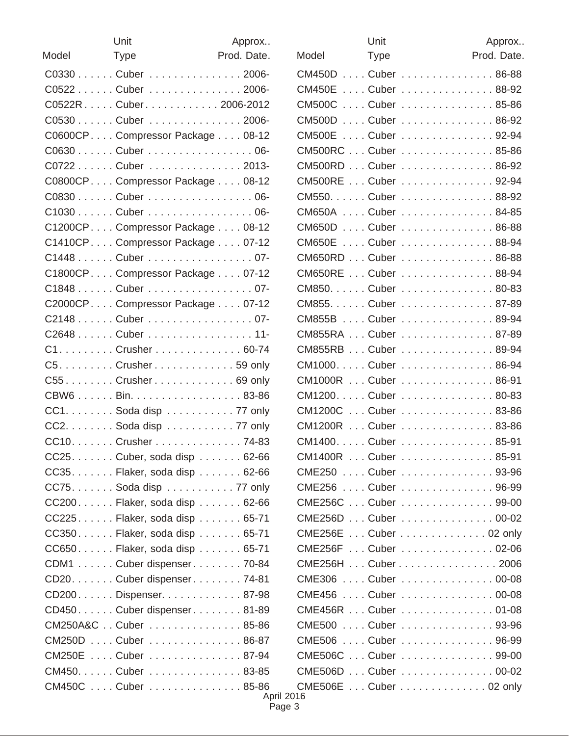|       | Unit                                                              | Approx      |
|-------|-------------------------------------------------------------------|-------------|
| Model | <b>Type</b>                                                       | Prod. Date. |
|       | C0330 Cuber 2006-                                                 |             |
|       | C0522 Cuber 2006-                                                 |             |
|       | C0522RCuber2006-2012                                              |             |
|       | C0530 Cuber 2006-                                                 |             |
|       | C0600CP Compressor Package  08-12                                 |             |
|       | C0630 Cuber 06-                                                   |             |
|       | C0722 Cuber 2013-                                                 |             |
|       | C0800CP Compressor Package  08-12                                 |             |
|       | C0830 Cuber 06-                                                   |             |
|       | C1030 Cuber 06-                                                   |             |
|       | C1200CP Compressor Package  08-12                                 |             |
|       | C1410CP Compressor Package  07-12                                 |             |
|       | C1448 Cuber 07-                                                   |             |
|       | C1800CP Compressor Package  07-12                                 |             |
|       | C1848 Cuber 07-                                                   |             |
|       | C2000CP Compressor Package  07-12                                 |             |
|       | C2148 Cuber 07-                                                   |             |
|       | C2648 Cuber 11-                                                   |             |
|       | C1. Crusher 60-74                                                 |             |
|       | C5. Crusher 59 only                                               |             |
|       | C55. Crusher 69 only                                              |             |
|       | CBW6 Bin. 83-86                                                   |             |
|       | CC1. Soda disp 77 only                                            |             |
|       | $CC2. \ldots \ldots$ . Soda disp $\ldots \ldots \ldots$ . 77 only |             |
|       | CC10. Crusher 74-83                                               |             |
|       | $CC25$ Cuber, soda disp 62-66                                     |             |
|       | CC35. Flaker, soda disp 62-66                                     |             |
|       | $CC75$ Soda disp $$ $$ $77$ only                                  |             |
|       | CC200. Flaker, soda disp 62-66                                    |             |
|       | CC225Flaker, soda disp 65-71                                      |             |
|       | CC350 Flaker, soda disp  65-71                                    |             |
|       | CC650 Flaker, soda disp  65-71                                    |             |
|       | CDM1 Cuber dispenser 70-84                                        |             |
|       | CD20. Cuber dispenser. 74-81                                      |             |
|       | CD200Dispenser87-98                                               |             |
|       | CD450. Cuber dispenser 81-89                                      |             |
|       | CM250A&C Cuber 85-86                                              |             |
|       | CM250D  Cuber  86-87                                              |             |
|       | CM250E  Cuber  87-94                                              |             |
|       | CM450. Cuber 83-85                                                |             |
|       | CM450C  Cuber  85-86                                              |             |

|               | Unit        |                             | Approx      |
|---------------|-------------|-----------------------------|-------------|
| Model         | <b>Type</b> |                             | Prod. Date. |
|               |             | CM450D  Cuber  86-88        |             |
| <b>CM450E</b> |             | Cuber  88-92                |             |
| <b>CM500C</b> |             | Cuber  85-86                |             |
|               |             | CM500D  Cuber  86-92        |             |
| <b>CM500E</b> |             | Cuber  92-94                |             |
|               |             | CM500RC  Cuber  85-86       |             |
|               |             | CM500RD  Cuber  86-92       |             |
|               |             | CM500RE  Cuber  92-94       |             |
|               |             | CM550. Cuber 88-92          |             |
|               |             | CM650A  Cuber  84-85        |             |
|               |             | CM650D  Cuber  86-88        |             |
| <b>CM650E</b> |             | Cuber  88-94                |             |
|               |             | CM650RD  Cuber  86-88       |             |
|               |             | CM650RE  Cuber  88-94       |             |
|               |             | CM850. Cuber 80-83          |             |
|               |             | CM855. Cuber 87-89          |             |
|               |             | CM855B  Cuber  89-94        |             |
|               |             | CM855RA  Cuber  87-89       |             |
|               |             | CM855RB  Cuber  89-94       |             |
|               |             | CM1000Cuber 86-94           |             |
|               |             | CM1000R  Cuber  86-91       |             |
|               |             | CM1200Cuber80-83            |             |
|               |             | CM1200C  Cuber  83-86       |             |
|               |             | CM1200R  Cuber  83-86       |             |
|               |             | CM1400Cuber85-91            |             |
|               |             | CM1400R  Cuber  85-91       |             |
|               |             | CME250  Cuber  93-96        |             |
|               |             | CME256  Cuber  96-99        |             |
|               |             | CME256C  Cuber  99-00       |             |
|               |             | CME256D  Cuber  00-02       |             |
|               |             | CME256E  Cuber      02 only |             |
|               |             | CME256F  Cuber  02-06       |             |
|               |             | CME256H  Cuber      2006    |             |
|               |             | CME306  Cuber  00-08        |             |
|               |             | CME456  Cuber  00-08        |             |
|               |             | CME456R  Cuber  01-08       |             |
|               |             | CME500  Cuber  93-96        |             |
|               |             | CME506  Cuber  96-99        |             |
|               |             | CME506C  Cuber  99-00       |             |
|               |             | CME506D  Cuber  00-02       |             |
|               |             | CME506E Cuber 02 only       |             |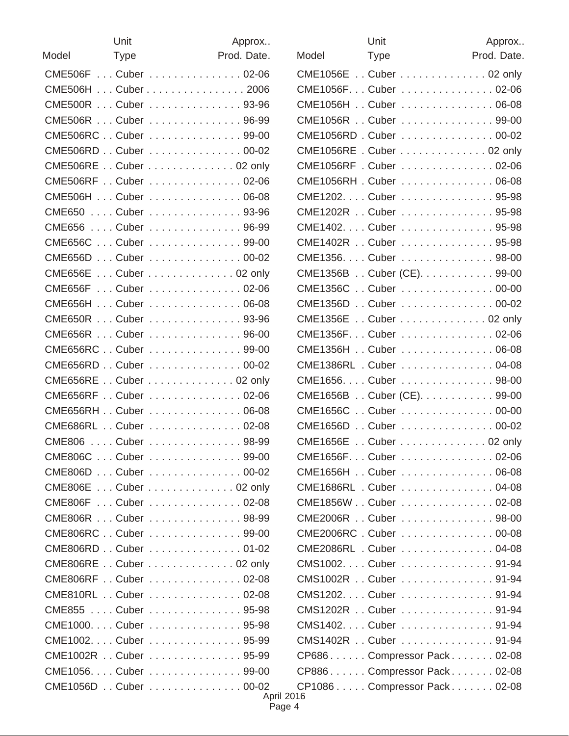|       | Unit                       | Approx      |
|-------|----------------------------|-------------|
| Model | Type                       | Prod. Date. |
|       | CME506F  Cuber  02-06      |             |
|       | CME506H  Cuber      . 2006 |             |
|       | CME500R  Cuber  93-96      |             |
|       | CME506R  Cuber  96-99      |             |
|       | CME506RC Cuber 99-00       |             |
|       | CME506RD Cuber 00-02       |             |
|       | CME506RE Cuber 02 only     |             |
|       | CME506RF Cuber 02-06       |             |
|       | CME506H  Cuber  06-08      |             |
|       | CME650  Cuber  93-96       |             |
|       | CME656  Cuber  96-99       |             |
|       | CME656C  Cuber  99-00      |             |
|       | CME656D  Cuber  00-02      |             |
|       | CME656E Cuber 02 only      |             |
|       | CME656F  Cuber  02-06      |             |
|       | CME656H  Cuber  06-08      |             |
|       | CME650R  Cuber  93-96      |             |
|       | CME656R  Cuber  96-00      |             |
|       | CME656RC Cuber 99-00       |             |
|       | CME656RD Cuber 00-02       |             |
|       | CME656RE Cuber 02 only     |             |
|       | CME656RF Cuber 02-06       |             |
|       | CME656RH Cuber 06-08       |             |
|       | CME686RL Cuber 02-08       |             |
|       | CME806  Cuber  98-99       |             |
|       | CME806C  Cuber  99-00      |             |
|       | CME806D  Cuber  00-02      |             |
|       | CME806E Cuber 02 only      |             |
|       | CME806F  Cuber  02-08      |             |
|       | CME806R  Cuber  98-99      |             |
|       | CME806RC Cuber 99-00       |             |
|       | CME806RD Cuber 01-02       |             |
|       | CME806RE Cuber 02 only     |             |
|       | CME806RF Cuber 02-08       |             |
|       | CME810RL  Cuber  02-08     |             |
|       | CME855  Cuber  95-98       |             |
|       | CME1000Cuber 95-98         |             |
|       | CME1002Cuber 95-99         |             |
|       | CME1002R Cuber 95-99       |             |
|       | CME1056Cuber 99-00         |             |
|       | CME1056D Cuber 00-02       |             |

|                              | Unit        | Approx      |
|------------------------------|-------------|-------------|
| Model                        | <b>Type</b> | Prod. Date. |
| CME1056E Cuber 02 only       |             |             |
| CME1056F Cuber  02-06        |             |             |
| CME1056H Cuber 06-08         |             |             |
| CME1056R Cuber 99-00         |             |             |
| CME1056RD. Cuber  00-02      |             |             |
| CME1056RE . Cuber 02 only    |             |             |
| CME1056RF . Cuber 02-06      |             |             |
| CME1056RH. Cuber  06-08      |             |             |
| CME1202. Cuber 95-98         |             |             |
| CME1202R Cuber 95-98         |             |             |
| CME1402. Cuber 95-98         |             |             |
| CME1402R Cuber 95-98         |             |             |
| CME1356. Cuber 98-00         |             |             |
| CME1356B Cuber (CE). 99-00   |             |             |
| CME1356C Cuber 00-00         |             |             |
| CME1356D Cuber 00-02         |             |             |
| CME1356E Cuber 02 only       |             |             |
| CME1356F Cuber  02-06        |             |             |
| CME1356H Cuber 06-08         |             |             |
| CME1386RL . Cuber 04-08      |             |             |
| CME1656. Cuber 98-00         |             |             |
| CME1656B Cuber (CE). 99-00   |             |             |
| CME1656C  Cuber  00-00       |             |             |
| CME1656D Cuber 00-02         |             |             |
| CME1656E Cuber 02 only       |             |             |
| CME1656F Cuber  02-06        |             |             |
| CME1656H Cuber 06-08         |             |             |
| CME1686RL . Cuber 04-08      |             |             |
| CME1856WCuber 02-08          |             |             |
| CME2006R Cuber 98-00         |             |             |
| CME2006RC. Cuber  00-08      |             |             |
| CME2086RL . Cuber 04-08      |             |             |
| CMS1002 Cuber  91-94         |             |             |
| CMS1002R Cuber 91-94         |             |             |
| CMS1202 Cuber  91-94         |             |             |
| CMS1202R Cuber 91-94         |             |             |
| CMS1402. Cuber 91-94         |             |             |
| CMS1402R Cuber 91-94         |             |             |
| CP686Compressor Pack02-08    |             |             |
| CP886Compressor Pack02-08    |             |             |
| CP1086 Compressor Pack 02-08 |             |             |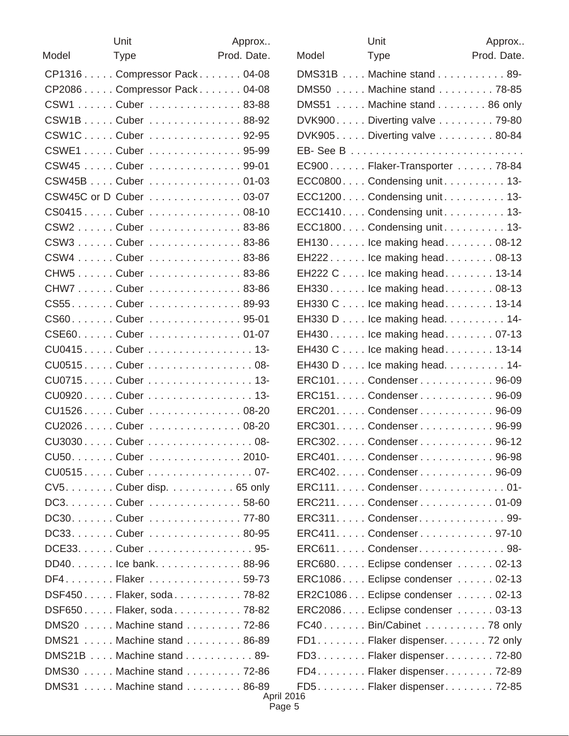|       | Unit                         | Approx      |
|-------|------------------------------|-------------|
| Model | <b>Type</b>                  | Prod. Date. |
|       | CP1316 Compressor Pack 04-08 |             |
|       | CP2086 Compressor Pack 04-08 |             |
|       | CSW1 Cuber 83-88             |             |
|       | CSW1BCuber88-92              |             |
|       | CSW1C Cuber  92-95           |             |
|       | CSWE1 Cuber 95-99            |             |
|       | CSW45  Cuber  99-01          |             |
|       | CSW45B  . Cuber      . 01-03 |             |
|       | CSW45C or D Cuber 03-07      |             |
|       | CS0415Cuber08-10             |             |
|       | CSW2 Cuber 83-86             |             |
|       | CSW3Cuber83-86               |             |
|       | CSW4 Cuber 83-86             |             |
|       | CHW5Cuber83-86               |             |
|       | CHW7Cuber83-86               |             |
|       | CS55. Cuber 89-93            |             |
|       | CS60Cuber95-01               |             |
|       | CSE60. Cuber 01-07           |             |
|       | CU0415 Cuber  13-            |             |
|       | CU0515 Cuber  08-            |             |
|       | CU0715 Cuber  13-            |             |
|       | CU0920 Cuber  13-            |             |
|       | CU1526Cuber08-20             |             |
|       | CU2026Cuber08-20             |             |
|       | CU3030 Cuber  08-            |             |
|       | CU50. Cuber 2010-            |             |
|       | CU0515 Cuber  07-            |             |
|       | CV5. Cuber disp. 65 only     |             |
|       | DC3. Cuber 58-60             |             |
|       | DC30Cuber77-80               |             |
|       | DC33. Cuber 80-95            |             |
|       | DCE33. Cuber 95-             |             |
|       | DD40. lce bank. 88-96        |             |
|       | DF4. Flaker 59-73            |             |
|       | DSF450 Flaker, soda 78-82    |             |
|       | DSF650 Flaker, soda 78-82    |             |
|       | DMS20 Machine stand 72-86    |             |
|       | DMS21 Machine stand 86-89    |             |
|       | DMS21B  Machine stand  89-   |             |
|       | DMS30 Machine stand 72-86    |             |
|       | DMS31 Machine stand 86-89    | Ani         |

|       | Unit                                                 | Approx      |
|-------|------------------------------------------------------|-------------|
| Model | <b>Type</b>                                          | Prod. Date. |
|       | DMS31B Machine stand 89-                             |             |
|       | DMS50 Machine stand 78-85                            |             |
|       | DMS51 Machine stand 86 only                          |             |
|       | DVK900. Diverting valve 79-80                        |             |
|       | DVK905Diverting valve  80-84                         |             |
|       |                                                      |             |
|       | EC900Flaker-Transporter78-84                         |             |
|       | ECC0800 Condensing unit 13-                          |             |
|       | $ECC1200$ Condensing unit $\ldots \ldots \ldots$ 13- |             |
|       | ECC1410. Condensing unit. 13-                        |             |
|       | ECC1800. Condensing unit. 13-                        |             |
|       | EH130. lce making head. 08-12                        |             |
|       | EH222. lce making head. 08-13                        |             |
|       | EH222 C Ice making head. 13-14                       |             |
|       | EH330. lce making head. 08-13                        |             |
|       | EH330 C Ice making head. 13-14                       |             |
|       | EH330 D Ice making head. 14-                         |             |
|       | EH430. lce making head. 07-13                        |             |
|       | EH430 C Ice making head. 13-14                       |             |
|       | EH430 D Ice making head. 14-                         |             |
|       | ERC101Condenser96-09                                 |             |
|       | ERC151 Condenser 96-09                               |             |
|       | ERC201. Condenser 96-09                              |             |
|       | ERC301. Condenser 96-99                              |             |
|       | ERC302Condenser96-12                                 |             |
|       | ERC401 Condenser 96-98                               |             |
|       | ERC402 Condenser 96-09                               |             |
|       | ERC111. Condenser. 01-                               |             |
|       | ERC211. Condenser. 01-09                             |             |
|       | ERC311. Condenser. 99-                               |             |
|       | ERC411. Condenser 97-10                              |             |
|       | ERC611. Condenser. 98-                               |             |
|       | ERC680. Eclipse condenser 02-13                      |             |
|       | ERC1086 Eclipse condenser  02-13                     |             |
|       | ER2C1086 Eclipse condenser  02-13                    |             |
|       | ERC2086 Eclipse condenser  03-13                     |             |
|       | FC40. Bin/Cabinet 78 only                            |             |
|       | FD1. Flaker dispenser. 72 only                       |             |
|       | FD3. Flaker dispenser. 72-80                         |             |
|       | FD4. Flaker dispenser. 72-89                         |             |
|       | FD5. Flaker dispenser. 72-85                         |             |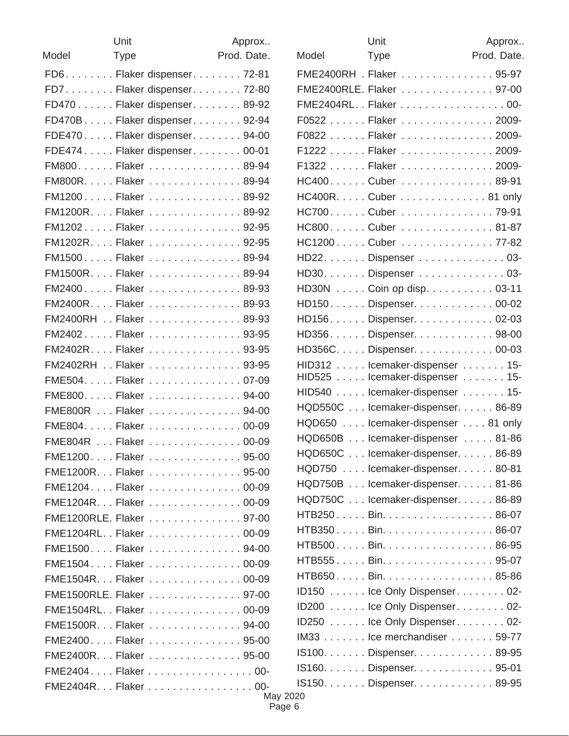| Unit                 | Approx                        |
|----------------------|-------------------------------|
| Model<br><b>Type</b> | Prod. Date.                   |
|                      | FD6. Flaker dispenser. 72-81  |
|                      | FD7. Flaker dispenser. 72-80  |
|                      | FD470 Flaker dispenser 89-92  |
|                      | FD470BFlaker dispenser 92-94  |
|                      | FDE470 Flaker dispenser 94-00 |
|                      | FDE474 Flaker dispenser 00-01 |
|                      | FM800. Flaker 89-94           |
|                      | FM800RFlaker89-94             |
|                      | FM1200Flaker89-92             |
|                      | FM1200RFlaker89-92            |
|                      | FM1202Flaker92-95             |
|                      | FM1202RFlaker92-95            |
|                      | FM1500Flaker89-94             |
|                      | FM1500RFlaker89-94            |
|                      | FM2400Flaker89-93             |
|                      | FM2400RFlaker89-93            |
|                      | FM2400RH Flaker 89-93         |
|                      | FM2402Flaker93-95             |
|                      | FM2402RFlaker93-95            |
|                      | FM2402RH  Flaker  93-95       |
|                      | FME504Flaker07-09             |
|                      | FME800Flaker94-00             |
|                      | FME800R  Flaker  94-00        |
|                      | FME804Flaker00-09             |
|                      | FME804R  Flaker  00-09        |
|                      | FME1200Flaker95-00            |
|                      | FME1200R Flaker  95-00        |
|                      | FME1204Flaker00-09            |
|                      | FME1204R Flaker  00-09        |
|                      | FME1200RLE. Flaker 97-00      |
|                      | FME1204RLFlaker00-09          |
|                      | FME1500Flaker94-00            |
|                      | FME1504Flaker00-09            |
|                      | FME1504R Flaker 00-09         |
|                      | FME1500RLE. Flaker 97-00      |
|                      | FME1504RLFlaker00-09          |
|                      | FME1500R Flaker  94-00        |
|                      | FME2400Flaker95-00            |
|                      | FME2400R Flaker 95-00         |
|                      | FME2404Flaker00-              |
|                      | FME2404R Flaker 00-           |

|       | Unit                                                         | Approx      |
|-------|--------------------------------------------------------------|-------------|
| Model | <b>Type</b>                                                  | Prod. Date. |
|       | FME2400RH . Flaker 95-97                                     |             |
|       | FME2400RLE. Flaker 97-00                                     |             |
|       | FME2404RLFlaker00-                                           |             |
|       | F0522 Flaker 2009-                                           |             |
|       | F0822 Flaker 2009-                                           |             |
|       | F1222 Flaker 2009-                                           |             |
|       | F1322 Flaker 2009-                                           |             |
|       | HC400Cuber89-91                                              |             |
|       | HC400R. Cuber 81 only                                        |             |
|       | HC700Cuber 79-91                                             |             |
|       | HC800. Cuber 81-87                                           |             |
|       | HC1200Cuber77-82                                             |             |
|       | HD22. Dispenser 03-                                          |             |
|       | HD30. Dispenser 03-                                          |             |
|       | HD30N Coin op disp. 03-11                                    |             |
|       | HD150. Dispenser. 00-02                                      |             |
|       | HD156. Dispenser. 02-03                                      |             |
|       | HD356. Dispenser. 98-00                                      |             |
|       | HD356CDispenser00-03                                         |             |
|       | HID312 lcemaker-dispenser 15-                                |             |
|       | HID525 lcemaker-dispenser 15-                                |             |
|       | HID540 Icemaker-dispenser 15-                                |             |
|       | HQD550C lcemaker-dispenser. 86-89                            |             |
|       | HQD650 lcemaker-dispenser 81 only                            |             |
|       | HQD650B Icemaker-dispenser 81-86                             |             |
|       | HQD650C Icemaker-dispenser. 86-89                            |             |
|       | HQD750 Icemaker-dispenser. 80-81                             |             |
|       | HQD750B  Icemaker-dispenser 81-86                            |             |
|       | HQD750C Icemaker-dispenser. 86-89<br>HTB250Bin86-07          |             |
|       | HTB350 Bin86-07                                              |             |
|       | HTB500Bin86-95                                               |             |
|       | HTB555 Bin95-07                                              |             |
|       | HTB650Bin85-86                                               |             |
|       | ID150 Ice Only Dispenser. 02-                                |             |
|       | ID200 Ice Only Dispenser. 02-                                |             |
|       |                                                              |             |
|       | ID250 Ice Only Dispenser. 02-<br>IM33 lce merchandiser 59-77 |             |
|       | IS100. Dispenser. 89-95                                      |             |
|       | IS160. Dispenser. 95-01                                      |             |
|       | IS150. Dispenser. 89-95                                      |             |
|       |                                                              |             |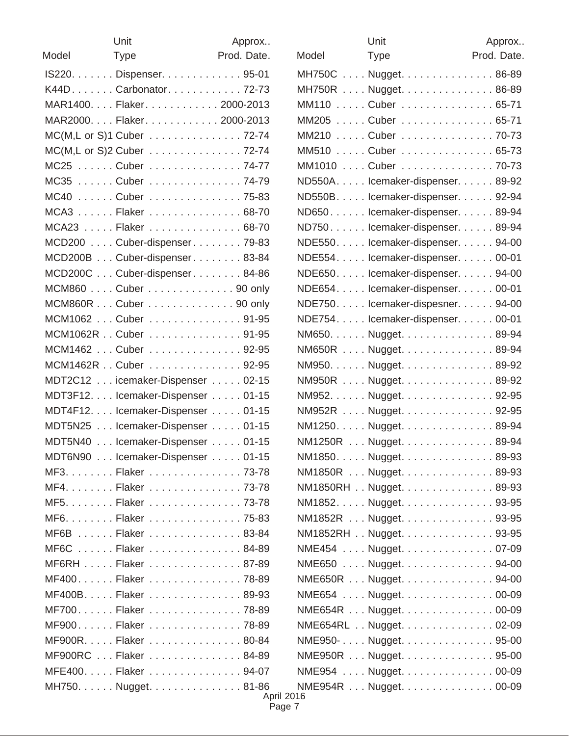|       | Unit                               | Approx      |
|-------|------------------------------------|-------------|
| Model | <b>Type</b>                        | Prod. Date. |
|       | IS220. Dispenser. 95-01            |             |
|       | K44D. Carbonator. 72-73            |             |
|       | MAR1400. Flaker. 2000-2013         |             |
|       | MAR2000Flaker2000-2013             |             |
|       | MC(M,L or S)1 Cuber 72-74          |             |
|       | MC(M,L or S)2 Cuber 72-74          |             |
|       | MC25 Cuber 74-77                   |             |
|       | MC35 Cuber 74-79                   |             |
|       | MC40  Cuber  75-83                 |             |
|       | MCA3 Flaker 68-70                  |             |
|       | MCA23  Flaker  68-70               |             |
|       | MCD200 Cuber-dispenser 79-83       |             |
|       | MCD200B Cuber-dispenser 83-84      |             |
|       | MCD200C Cuber-dispenser 84-86      |             |
|       | MCM860 Cuber 90 only               |             |
|       | MCM860R Cuber 90 only              |             |
|       | MCM1062  Cuber  91-95              |             |
|       | MCM1062R Cuber 91-95               |             |
|       | MCM1462  Cuber  92-95              |             |
|       | MCM1462R Cuber 92-95               |             |
|       | MDT2C12 icemaker-Dispenser 02-15   |             |
|       | MDT3F12. Icemaker-Dispenser 01-15  |             |
|       | MDT4F12. Icemaker-Dispenser 01-15  |             |
|       | MDT5N25 Icemaker-Dispenser 01-15   |             |
|       | MDT5N40 Icemaker-Dispenser 01-15   |             |
|       | MDT6N90  Icemaker-Dispenser  01-15 |             |
|       | MF3. Flaker 73-78                  |             |
|       | MF4. Flaker 73-78                  |             |
|       | MF5. Flaker 73-78                  |             |
|       | MF6. Flaker 75-83                  |             |
|       | MF6B Flaker 83-84                  |             |
|       | MF6C  Flaker  84-89                |             |
|       | MF6RH  Flaker  87-89               |             |
|       | MF400Flaker78-89                   |             |
|       | MF400B. Flaker 89-93               |             |
|       | MF700. Flaker 78-89                |             |
|       | MF900Flaker78-89                   |             |
|       | MF900R. Flaker 80-84               |             |
|       | MF900RC  Flaker  84-89             |             |
|       | MFE400Flaker94-07                  |             |
|       | MH750. Nugget. 81-86               |             |

|       | Unit                              | Approx      |
|-------|-----------------------------------|-------------|
| Model | <b>Type</b>                       | Prod. Date. |
|       | MH750C Nugget. 86-89              |             |
|       | MH750R Nugget. 86-89              |             |
|       | MM110 Cuber 65-71                 |             |
|       | MM205 Cuber 65-71                 |             |
|       | MM210 Cuber 70-73                 |             |
|       | MM510 Cuber 65-73                 |             |
|       | MM1010  Cuber  70-73              |             |
|       | ND550A. lcemaker-dispenser. 89-92 |             |
|       | ND550B. lcemaker-dispenser. 92-94 |             |
|       | ND650lcemaker-dispenser89-94      |             |
|       | ND750. lcemaker-dispenser. 89-94  |             |
|       | NDE550. lcemaker-dispenser. 94-00 |             |
|       | NDE554. lcemaker-dispenser. 00-01 |             |
|       | NDE650. lcemaker-dispenser. 94-00 |             |
|       | NDE654. lcemaker-dispenser. 00-01 |             |
|       | NDE750. lcemaker-dispesner. 94-00 |             |
|       | NDE754. lcemaker-dispenser. 00-01 |             |
|       | NM650. Nugget. 89-94              |             |
|       | NM650R  Nugget89-94               |             |
|       | NM950. Nugget. 89-92              |             |
|       | NM950R Nugget. 89-92              |             |
|       | NM952. Nugget. 92-95              |             |
|       | NM952R  Nugget 92-95              |             |
|       | NM1250. Nugget. 89-94             |             |
|       | NM1250R  Nugget89-94              |             |
|       | NM1850Nugget89-93                 |             |
|       | NM1850R  Nugget89-93              |             |
|       | NM1850RH Nugget. 89-93            |             |
|       | NM1852. Nugget. 93-95             |             |
|       | NM1852R  Nugget 93-95             |             |
|       | NM1852RH Nugget. 93-95            |             |
|       | NME454  Nugget 07-09              |             |
|       | NME650 Nugget. 94-00              |             |
|       | NME650R  Nugget94-00              |             |
|       | NME654 Nugget. 00-09              |             |
|       | NME654R  Nugget 00-09             |             |
|       | NME654RL Nugget. 02-09            |             |
|       | NME950- Nugget. 95-00             |             |
|       | NME950R  Nugget 95-00             |             |
|       | NME954  Nugget 00-09              |             |
|       | NME954R  Nugget 00-09             |             |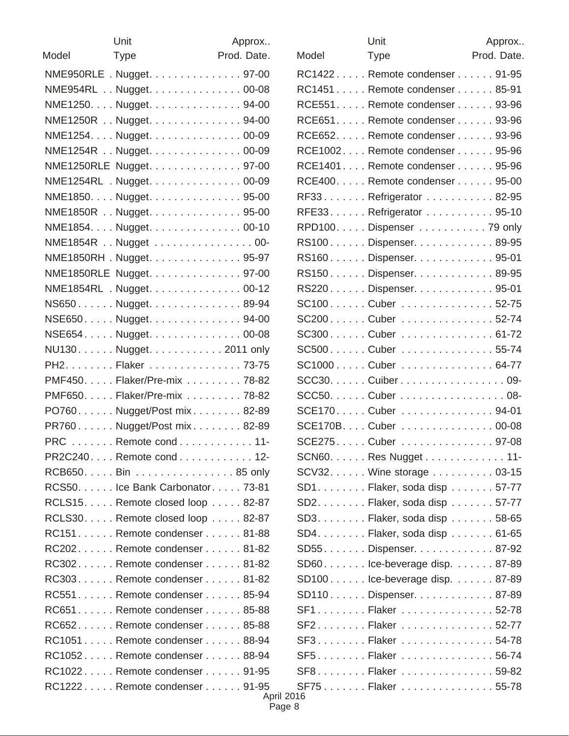|       | Unit                              | Approx      |
|-------|-----------------------------------|-------------|
| Model | <b>Type</b>                       | Prod. Date. |
|       | NME950RLE . Nugget. 97-00         |             |
|       | NME954RL Nugget. 00-08            |             |
|       | NME1250. Nugget. 94-00            |             |
|       | NME1250R Nugget. 94-00            |             |
|       | NME1254. Nugget. 00-09            |             |
|       | NME1254R Nugget. 00-09            |             |
|       | NME1250RLE Nugget. 97-00          |             |
|       | NME1254RL . Nugget. 00-09         |             |
|       | NME1850. Nugget. 95-00            |             |
|       | NME1850R Nugget. 95-00            |             |
|       | NME1854. Nugget. 00-10            |             |
|       | NME1854R Nugget 00-               |             |
|       | NME1850RH. Nugget95-97            |             |
|       | NME1850RLE Nugget97-00            |             |
|       | NME1854RL . Nugget. 00-12         |             |
|       | NS650Nugget89-94                  |             |
|       | NSE650. Nugget. 94-00             |             |
|       | NSE654Nugget00-08                 |             |
|       | NU130. Nugget. 2011 only          |             |
|       | PH2. Flaker 73-75                 |             |
|       | PMF450. Flaker/Pre-mix 78-82      |             |
|       | PMF650Flaker/Pre-mix 78-82        |             |
|       | PO760. Nugget/Post mix. 82-89     |             |
|       | PR760Nugget/Post mix82-89         |             |
|       | PRC Remote cond 11-               |             |
|       | PR2C240. Remote cond 12-          |             |
|       | RCB650. Bin 85 only               |             |
|       | RCS50. lce Bank Carbonator. 73-81 |             |
|       | RCLS15. Remote closed loop 82-87  |             |
|       | RCLS30. Remote closed loop 82-87  |             |
|       | RC151Remote condenser81-88        |             |
|       | RC202Remote condenser81-82        |             |
|       | RC302Remote condenser81-82        |             |
|       | RC303Remote condenser81-82        |             |
|       | RC551Remote condenser85-94        |             |
|       | RC651. Remote condenser 85-88     |             |
|       | RC652Remote condenser85-88        |             |
|       | RC1051 Remote condenser 88-94     |             |
|       | RC1052Remote condenser88-94       |             |
|       | RC1022 Remote condenser 91-95     |             |
|       | RC1222Remote condenser91-95       | Anr         |

|       | Unit                           | Approx      |
|-------|--------------------------------|-------------|
| Model | <b>Type</b>                    | Prod. Date. |
|       | RC1422 Remote condenser 91-95  |             |
|       | RC1451 Remote condenser 85-91  |             |
|       | RCE551. Remote condenser 93-96 |             |
|       | RCE651. Remote condenser 93-96 |             |
|       | RCE652. Remote condenser 93-96 |             |
|       | RCE1002 Remote condenser 95-96 |             |
|       | RCE1401 Remote condenser 95-96 |             |
|       | RCE400. Remote condenser 95-00 |             |
|       | RF33Refrigerator 82-95         |             |
|       | RFE33. Refrigerator 95-10      |             |
|       | RPD100. Dispenser 79 only      |             |
|       | RS100Dispenser89-95            |             |
|       | RS160Dispenser95-01            |             |
|       | RS150Dispenser89-95            |             |
|       | RS220. Dispenser. 95-01        |             |
|       | SC100Cuber 52-75               |             |
|       | SC200Cuber52-74                |             |
|       | SC300Cuber  61-72              |             |
|       | SC500Cuber55-74                |             |
|       | SC1000Cuber64-77               |             |
|       | SCC30. Cuiber 09-              |             |
|       | SCC50. Cuber 08-               |             |
|       | SCE170Cuber94-01               |             |
|       | SCE170BCuber 00-08             |             |
|       | SCE275 Cuber  97-08            |             |
|       | SCN60. Res Nugget 11-          |             |
|       | SCV32. Wine storage 03-15      |             |
|       | $SD1$ Flaker, soda disp 57-77  |             |
|       | SD2. Flaker, soda disp 57-77   |             |
|       | SD3. Flaker, soda disp 58-65   |             |
|       | SD4. Flaker, soda disp 61-65   |             |
|       | SD55Dispenser87-92             |             |
|       | SD60lce-beverage disp87-89     |             |
|       | SD100lce-beverage disp87-89    |             |
|       | SD110. Dispenser. 87-89        |             |
|       | SF1Flaker52-78                 |             |
|       | SF2. Flaker 52-77              |             |
|       | SF3. Flaker 54-78              |             |
|       | SF5Flaker56-74                 |             |
|       | SF8. Flaker 59-82              |             |
|       | SF75Flaker55-78                |             |